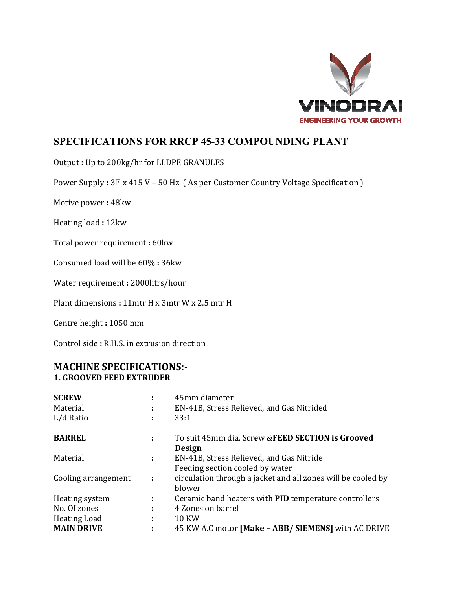

## **SPECIFICATIONS FOR RRCP 45-33 COMPOUNDING PLANT**

Output: Up to 200kg/hr for LLDPE GRANULES

Power Supply: 3<sup>®</sup> x 415 V - 50 Hz (As per Customer Country Voltage Specification)

Motive power: 48kw

Heating load: 12kw

Total power requirement: 60kw

Consumed load will be 60%: 36kw

Water requirement: 2000litrs/hour

Plant dimensions: 11mtr H x 3mtr W x 2.5 mtr H

Centre height: 1050 mm

Control side: R.H.S. in extrusion direction

## **MACHINE SPECIFICATIONS:-1. GROOVED FEED EXTRUDER**

| <b>SCREW</b>        |   | 45mm diameter                                                          |
|---------------------|---|------------------------------------------------------------------------|
| Material            | ٠ | EN-41B, Stress Relieved, and Gas Nitrided                              |
| L/d Ratio           |   | 33:1                                                                   |
| <b>BARREL</b>       | ÷ | To suit 45mm dia. Screw & FEED SECTION is Grooved<br><b>Design</b>     |
| Material            | ÷ | EN-41B, Stress Relieved, and Gas Nitride                               |
|                     |   | Feeding section cooled by water                                        |
| Cooling arrangement | ÷ | circulation through a jacket and all zones will be cooled by<br>blower |
| Heating system      | ÷ | Ceramic band heaters with PID temperature controllers                  |
| No. Of zones        |   | 4 Zones on barrel                                                      |
| <b>Heating Load</b> | ٠ | <b>10 KW</b>                                                           |
| <b>MAIN DRIVE</b>   |   | 45 KW A.C motor [Make - ABB/ SIEMENS] with AC DRIVE                    |